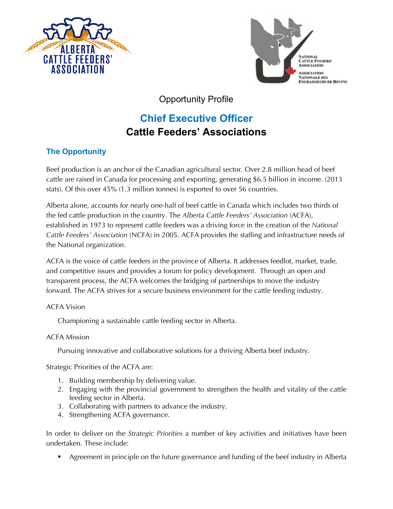



Opportunity Profile

# **Chief Executive Officer Cattle Feeders' Associations**

## **The Opportunity**

Beef production is an anchor of the Canadian agricultural sector. Over 2.8 million head of beef cattle are raised in Canada for processing and exporting, generating \$6.5 billion in income. (2013 stats). Of this over 45% (1.3 million tonnes) is exported to over 56 countries.

Alberta alone, accounts for nearly one-half of beef cattle in Canada which includes two thirds of the fed cattle production in the country. The *Alberta Cattle Feeders' Association* (ACFA), established in 1973 to represent cattle feeders was a driving force in the creation of the *National Cattle Feeders' Association* (NCFA) in 2005. ACFA provides the staffing and infrastructure needs of the National organization.

ACFA is the voice of cattle feeders in the province of Alberta. It addresses feedlot, market, trade, and competitive issues and provides a forum for policy development. Through an open and transparent process, the ACFA welcomes the bridging of partnerships to move the industry forward. The ACFA strives for a secure business environment for the cattle feeding industry.

## ACFA Vision

Championing a sustainable cattle feeding sector in Alberta.

## ACFA Mission

Pursuing innovative and collaborative solutions for a thriving Alberta beef industry.

Strategic Priorities of the ACFA are:

- 1. Building membership by delivering value.
- 2. Engaging with the provincial government to strengthen the health and vitality of the cattle feeding sector in Alberta.
- 3. Collaborating with partners to advance the industry.
- 4. Strengthening ACFA governance.

In order to deliver on the *Strategic Priorities* a number of key activities and initiatives have been undertaken. These include:

■ Agreement in principle on the future governance and funding of the beef industry in Alberta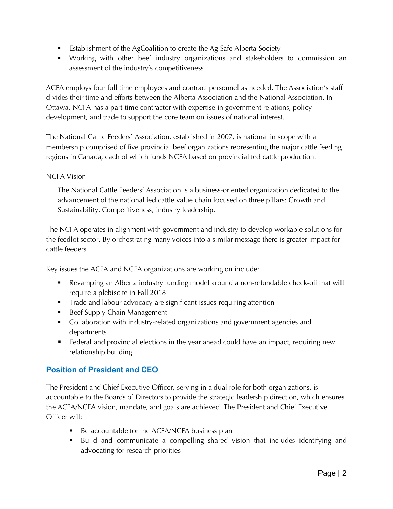- Establishment of the AgCoalition to create the Ag Safe Alberta Society
- § Working with other beef industry organizations and stakeholders to commission an assessment of the industry's competitiveness

ACFA employs four full time employees and contract personnel as needed. The Association's staff divides their time and efforts between the Alberta Association and the National Association. In Ottawa, NCFA has a part-time contractor with expertise in government relations, policy development, and trade to support the core team on issues of national interest.

The National Cattle Feeders' Association, established in 2007, is national in scope with a membership comprised of five provincial beef organizations representing the major cattle feeding regions in Canada, each of which funds NCFA based on provincial fed cattle production.

## NCFA Vision

The National Cattle Feeders' Association is a business-oriented organization dedicated to the advancement of the national fed cattle value chain focused on three pillars: Growth and Sustainability, Competitiveness, Industry leadership.

The NCFA operates in alignment with government and industry to develop workable solutions for the feedlot sector. By orchestrating many voices into a similar message there is greater impact for cattle feeders.

Key issues the ACFA and NCFA organizations are working on include:

- Revamping an Alberta industry funding model around a non-refundable check-off that will require a plebiscite in Fall 2018
- **•** Trade and labour advocacy are significant issues requiring attention
- Beef Supply Chain Management
- Collaboration with industry-related organizations and government agencies and departments
- Federal and provincial elections in the year ahead could have an impact, requiring new relationship building

## **Position of President and CEO**

The President and Chief Executive Officer, serving in a dual role for both organizations, is accountable to the Boards of Directors to provide the strategic leadership direction, which ensures the ACFA/NCFA vision, mandate, and goals are achieved. The President and Chief Executive Officer will:

- Be accountable for the ACFA/NCFA business plan
- § Build and communicate a compelling shared vision that includes identifying and advocating for research priorities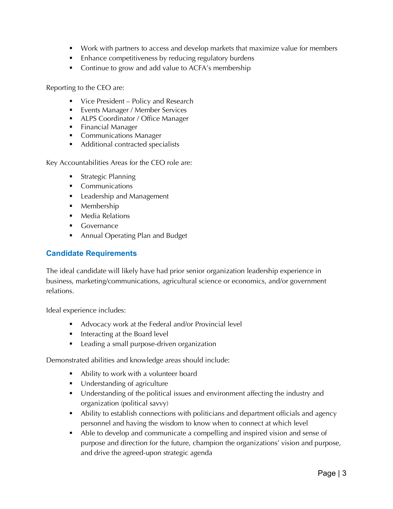- § Work with partners to access and develop markets that maximize value for members
- Enhance competitiveness by reducing regulatory burdens
- Continue to grow and add value to ACFA's membership

Reporting to the CEO are:

- Vice President Policy and Research
- Events Manager / Member Services
- ALPS Coordinator / Office Manager
- Financial Manager
- Communications Manager
- Additional contracted specialists

Key Accountabilities Areas for the CEO role are:

- Strategic Planning
- Communications
- Leadership and Management
- Membership
- Media Relations
- Governance
- Annual Operating Plan and Budget

## **Candidate Requirements**

The ideal candidate will likely have had prior senior organization leadership experience in business, marketing/communications, agricultural science or economics, and/or government relations.

Ideal experience includes:

- Advocacy work at the Federal and/or Provincial level
- Interacting at the Board level
- Leading a small purpose-driven organization

Demonstrated abilities and knowledge areas should include:

- Ability to work with a volunteer board
- Understanding of agriculture
- Understanding of the political issues and environment affecting the industry and organization (political savvy)
- Ability to establish connections with politicians and department officials and agency personnel and having the wisdom to know when to connect at which level
- Able to develop and communicate a compelling and inspired vision and sense of purpose and direction for the future, champion the organizations' vision and purpose, and drive the agreed-upon strategic agenda